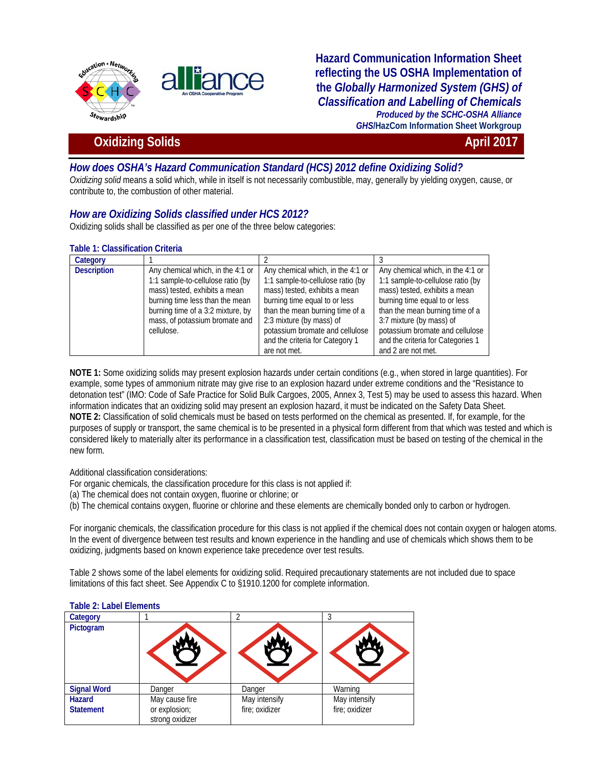

**Hazard Communication Information Sheet reflecting the US OSHA Implementation of the** *Globally Harmonized System (GHS) of Classification and Labelling of Chemicals Produced by the SCHC-OSHA Alliance GHS***/HazCom Information Sheet Workgroup**

# **Oxidizing Solids April 2017**

# *How does OSHA's Hazard Communication Standard (HCS) 2012 define Oxidizing Solid?*

*Oxidizing solid* means a solid which, while in itself is not necessarily combustible, may, generally by yielding oxygen, cause, or contribute to, the combustion of other material.

## *How are Oxidizing Solids classified under HCS 2012?*

Oxidizing solids shall be classified as per one of the three below categories:

#### **Table 1: Classification Criteria**

| Category           |                                   |                                   |                                   |
|--------------------|-----------------------------------|-----------------------------------|-----------------------------------|
| <b>Description</b> | Any chemical which, in the 4:1 or | Any chemical which, in the 4:1 or | Any chemical which, in the 4:1 or |
|                    | 1:1 sample-to-cellulose ratio (by | 1:1 sample-to-cellulose ratio (by | 1:1 sample-to-cellulose ratio (by |
|                    | mass) tested, exhibits a mean     | mass) tested, exhibits a mean     | mass) tested, exhibits a mean     |
|                    | burning time less than the mean   | burning time equal to or less     | burning time equal to or less     |
|                    | burning time of a 3:2 mixture, by | than the mean burning time of a   | than the mean burning time of a   |
|                    | mass, of potassium bromate and    | 2:3 mixture (by mass) of          | 3:7 mixture (by mass) of          |
|                    | cellulose.                        | potassium bromate and cellulose   | potassium bromate and cellulose   |
|                    |                                   | and the criteria for Category 1   | and the criteria for Categories 1 |
|                    |                                   | are not met.                      | and 2 are not met.                |

**NOTE 1:** Some oxidizing solids may present explosion hazards under certain conditions (e.g., when stored in large quantities). For example, some types of ammonium nitrate may give rise to an explosion hazard under extreme conditions and the "Resistance to detonation test" (IMO: Code of Safe Practice for Solid Bulk Cargoes, 2005, Annex 3, Test 5) may be used to assess this hazard. When information indicates that an oxidizing solid may present an explosion hazard, it must be indicated on the Safety Data Sheet. **NOTE 2:** Classification of solid chemicals must be based on tests performed on the chemical as presented. If, for example, for the purposes of supply or transport, the same chemical is to be presented in a physical form different from that which was tested and which is considered likely to materially alter its performance in a classification test, classification must be based on testing of the chemical in the new form.

### Additional classification considerations:

For organic chemicals, the classification procedure for this class is not applied if:

(a) The chemical does not contain oxygen, fluorine or chlorine; or

(b) The chemical contains oxygen, fluorine or chlorine and these elements are chemically bonded only to carbon or hydrogen.

For inorganic chemicals, the classification procedure for this class is not applied if the chemical does not contain oxygen or halogen atoms. In the event of divergence between test results and known experience in the handling and use of chemicals which shows them to be oxidizing, judgments based on known experience take precedence over test results.

Table 2 shows some of the label elements for oxidizing solid. Required precautionary statements are not included due to space limitations of this fact sheet. See Appendix C to §1910.1200 for complete information.

| Category           |                                  |                |                |
|--------------------|----------------------------------|----------------|----------------|
| Pictogram          |                                  |                |                |
| <b>Signal Word</b> | Danger                           | Danger         | Warning        |
| <b>Hazard</b>      | May cause fire                   | May intensify  | May intensify  |
| <b>Statement</b>   | or explosion;<br>strong oxidizer | fire; oxidizer | fire; oxidizer |

#### **Table 2: Label Elements**